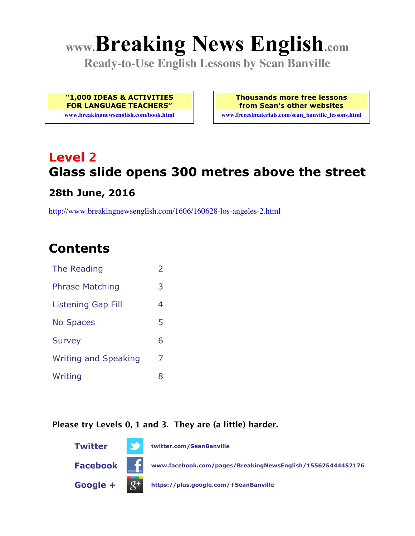# **www.Breaking News English.com**

**Ready-to-Use English Lessons by Sean Banville**

**"1,000 IDEAS & ACTIVITIES FOR LANGUAGE TEACHERS"**

**www.breakingnewsenglish.com/book.html**

**Thousands more free lessons from Sean's other websites www.freeeslmaterials.com/sean\_banville\_lessons.html**

## **Level 2 Glass slide opens 300 metres above the street**

#### **28th June, 2016**

http://www.breakingnewsenglish.com/1606/160628-los-angeles-2.html

### **Contents**

| The Reading                 | $\overline{2}$ |
|-----------------------------|----------------|
| <b>Phrase Matching</b>      | 3              |
| <b>Listening Gap Fill</b>   | 4              |
| <b>No Spaces</b>            | 5              |
| <b>Survey</b>               | 6              |
| <b>Writing and Speaking</b> | 7              |
| Writing                     | 8              |

#### **Please try Levels 0, 1 and 3. They are (a little) harder.**

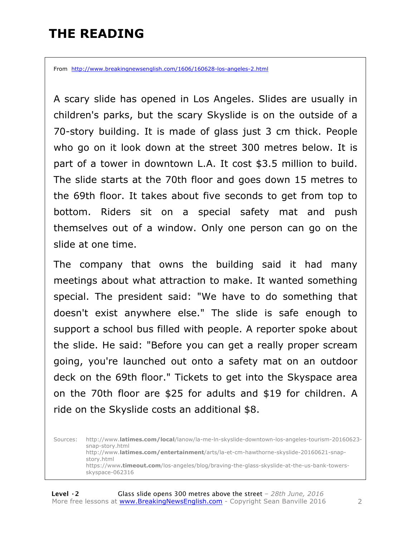### **THE READING**

From http://www.breakingnewsenglish.com/1606/160628-los-angeles-2.html

A scary slide has opened in Los Angeles. Slides are usually in children's parks, but the scary Skyslide is on the outside of a 70-story building. It is made of glass just 3 cm thick. People who go on it look down at the street 300 metres below. It is part of a tower in downtown L.A. It cost \$3.5 million to build. The slide starts at the 70th floor and goes down 15 metres to the 69th floor. It takes about five seconds to get from top to bottom. Riders sit on a special safety mat and push themselves out of a window. Only one person can go on the slide at one time.

The company that owns the building said it had many meetings about what attraction to make. It wanted something special. The president said: "We have to do something that doesn't exist anywhere else." The slide is safe enough to support a school bus filled with people. A reporter spoke about the slide. He said: "Before you can get a really proper scream going, you're launched out onto a safety mat on an outdoor deck on the 69th floor." Tickets to get into the Skyspace area on the 70th floor are \$25 for adults and \$19 for children. A ride on the Skyslide costs an additional \$8.

Sources: http://www.**latimes.com/local**/lanow/la-me-ln-skyslide-downtown-los-angeles-tourism-20160623 snap-story.html http://www.**latimes.com/entertainment**/arts/la-et-cm-hawthorne-skyslide-20160621-snapstory.html https://www**.timeout.com**/los-angeles/blog/braving-the-glass-skyslide-at-the-us-bank-towersskyspace-062316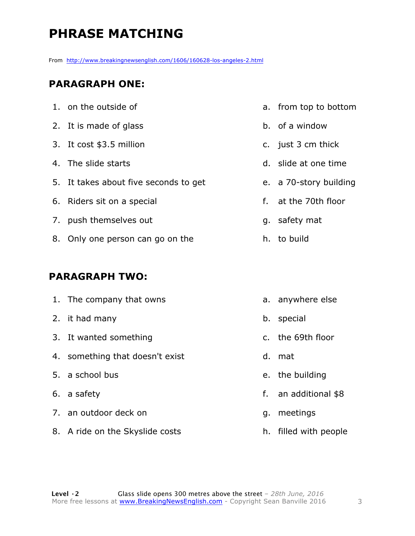### **PHRASE MATCHING**

From http://www.breakingnewsenglish.com/1606/160628-los-angeles-2.html

#### **PARAGRAPH ONE:**

| 1. on the outside of                  | a. from top to bottom  |
|---------------------------------------|------------------------|
| 2. It is made of glass                | b. of a window         |
| 3. It cost \$3.5 million              | c. just 3 cm thick     |
| 4. The slide starts                   | d. slide at one time   |
| 5. It takes about five seconds to get | e. a 70-story building |
| 6. Riders sit on a special            | f. at the 70th floor   |
| 7. push themselves out                | g. safety mat          |
| 8. Only one person can go on the      | h. to build            |
|                                       |                        |

#### **PARAGRAPH TWO:**

8. A ride on the Skyslide costs

| 1. The company that owns        |    | a. anywhere else  |
|---------------------------------|----|-------------------|
| 2. it had many                  | b. | special           |
| 3. It wanted something          |    | c. the 69th floor |
| 4. something that doesn't exist | d. | mat               |
| 5. a school bus                 |    | e. the building   |
| 6. a safety                     | f. | an additional \$8 |
| 7. an outdoor deck on           | q. | meetings          |
|                                 |    |                   |

h. filled with people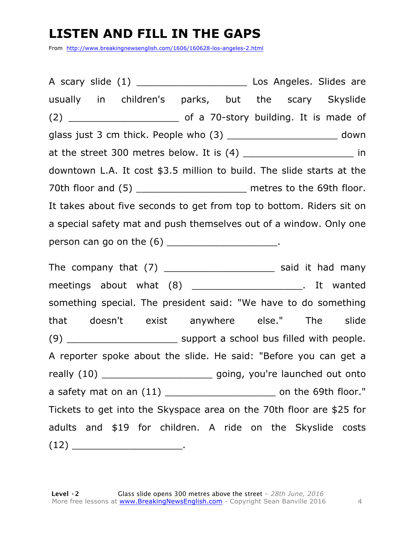### **LISTEN AND FILL IN THE GAPS**

From http://www.breakingnewsenglish.com/1606/160628-los-angeles-2.html

A scary slide (1) \_\_\_\_\_\_\_\_\_\_\_\_\_\_\_\_\_\_\_ Los Angeles. Slides are usually in children's parks, but the scary Skyslide (2) and the contract of a 70-story building. It is made of glass just 3 cm thick. People who (3) \_\_\_\_\_\_\_\_\_\_\_\_\_\_\_\_\_\_\_ down at the street 300 metres below. It is (4) and the street 300 metres below. It is (4) downtown L.A. It cost \$3.5 million to build. The slide starts at the 70th floor and (5) **The analytic set of the 69th floor.** It takes about five seconds to get from top to bottom. Riders sit on a special safety mat and push themselves out of a window. Only one person can go on the  $(6)$  \_\_\_\_\_\_\_\_\_\_\_\_\_\_\_\_\_\_\_\_.

The company that (7) \_\_\_\_\_\_\_\_\_\_\_\_\_\_\_\_\_\_\_ said it had many meetings about what (8) \_\_\_\_\_\_\_\_\_\_\_\_\_\_\_\_\_\_\_\_\_\_. It wanted something special. The president said: "We have to do something that doesn't exist anywhere else." The slide (9)  $\sim$  support a school bus filled with people. A reporter spoke about the slide. He said: "Before you can get a really (10) \_\_\_\_\_\_\_\_\_\_\_\_\_\_\_\_\_\_\_\_\_\_\_\_\_\_ going, you're launched out onto a safety mat on an (11) a safety mat on an (11) Tickets to get into the Skyspace area on the 70th floor are \$25 for adults and \$19 for children. A ride on the Skyslide costs  $(12)$  \_\_\_\_\_\_\_\_\_\_\_\_\_\_\_\_\_\_\_\_\_\_\_\_\_\_\_\_.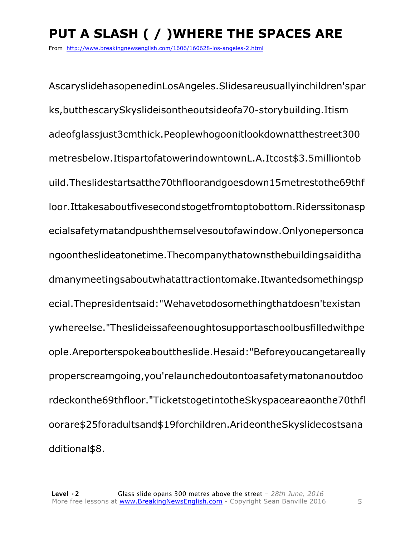### **PUT A SLASH ( / )WHERE THE SPACES ARE**

From http://www.breakingnewsenglish.com/1606/160628-los-angeles-2.html

AscaryslidehasopenedinLosAngeles.Slidesareusuallyinchildren'spar ks,butthescarySkyslideisontheoutsideofa70-storybuilding.Itism adeofglassjust3cmthick.Peoplewhogoonitlookdownatthestreet300 metresbelow.ItispartofatowerindowntownL.A.Itcost\$3.5milliontob uild.Theslidestartsatthe70thfloorandgoesdown15metrestothe69thf loor.Ittakesaboutfivesecondstogetfromtoptobottom.Riderssitonasp ecialsafetymatandpushthemselvesoutofawindow.Onlyonepersonca ngoontheslideatonetime.Thecompanythatownsthebuildingsaiditha dmanymeetingsaboutwhatattractiontomake.Itwantedsomethingsp ecial.Thepresidentsaid:"Wehavetodosomethingthatdoesn'texistan ywhereelse."Theslideissafeenoughtosupportaschoolbusfilledwithpe ople.Areporterspokeabouttheslide.Hesaid:"Beforeyoucangetareally properscreamgoing,you'relaunchedoutontoasafetymatonanoutdoo rdeckonthe69thfloor."TicketstogetintotheSkyspaceareaonthe70thfl oorare\$25foradultsand\$19forchildren.ArideontheSkyslidecostsana dditional\$8.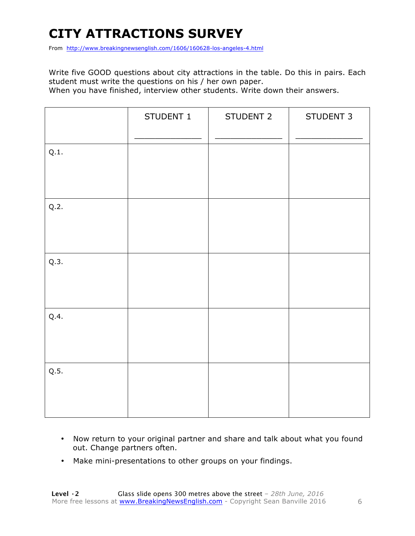### **CITY ATTRACTIONS SURVEY**

From http://www.breakingnewsenglish.com/1606/160628-los-angeles-4.html

Write five GOOD questions about city attractions in the table. Do this in pairs. Each student must write the questions on his / her own paper.

When you have finished, interview other students. Write down their answers.

|      | STUDENT 1 | STUDENT 2 | STUDENT 3 |
|------|-----------|-----------|-----------|
| Q.1. |           |           |           |
| Q.2. |           |           |           |
| Q.3. |           |           |           |
| Q.4. |           |           |           |
| Q.5. |           |           |           |

- Now return to your original partner and share and talk about what you found out. Change partners often.
- Make mini-presentations to other groups on your findings.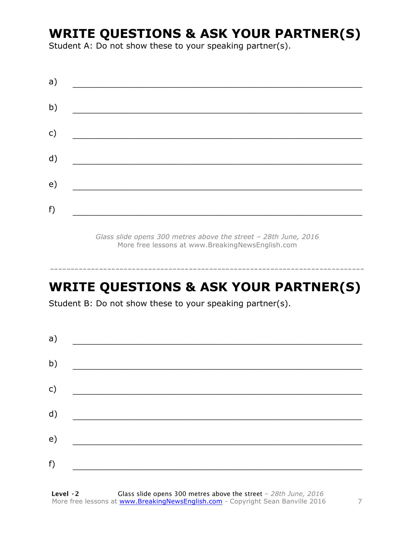### **WRITE QUESTIONS & ASK YOUR PARTNER(S)**

Student A: Do not show these to your speaking partner(s).

| a) |  |  |
|----|--|--|
| b) |  |  |
| c) |  |  |
| d) |  |  |
| e) |  |  |
| f) |  |  |
|    |  |  |

*Glass slide opens 300 metres above the street – 28th June, 2016* More free lessons at www.BreakingNewsEnglish.com

### **WRITE QUESTIONS & ASK YOUR PARTNER(S)**

-----------------------------------------------------------------------------

Student B: Do not show these to your speaking partner(s).

| a) |  |  |
|----|--|--|
| b) |  |  |
| c) |  |  |
| d) |  |  |
| e) |  |  |
| f) |  |  |
|    |  |  |